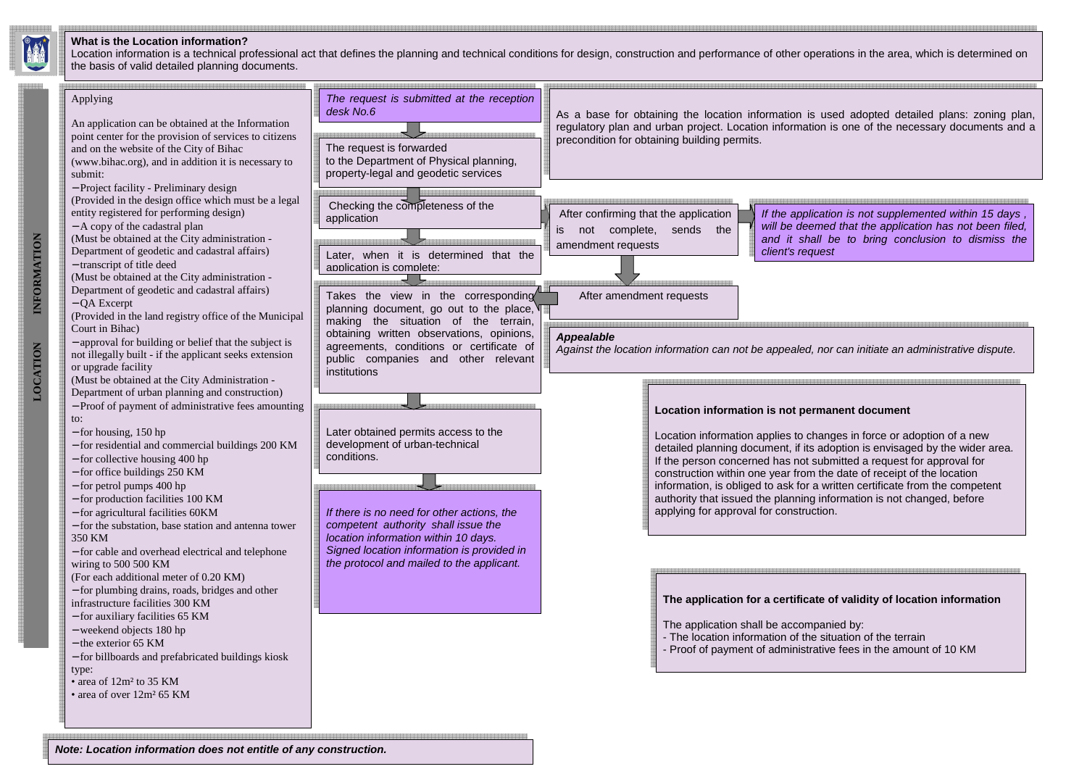Location information is a technical professional act that defines the planning and technical conditions for design, construction and performance of other operations in the area, which is determined on the basis of valid detailed planning documents.



#### **What is the Location information?**



and it shall be to bring conclusion to dismiss the

**Note: Location information does not entitle of any construction.**

Location information applies to changes in force or adoption of a new detailed planning document, if its adoption is envisaged by the wider area. information, is obliged to ask for a written certificate from the competent

### **The application for a certificate of validity of location information**